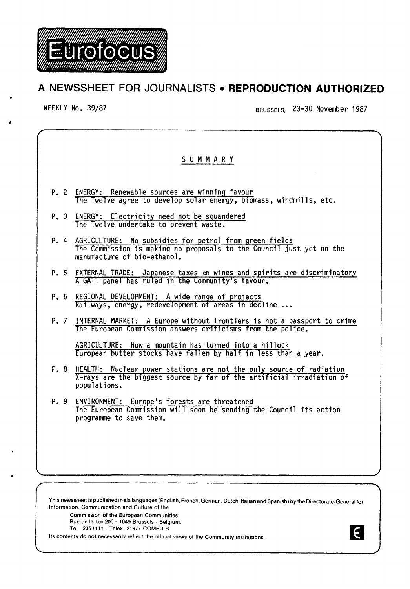

## A NEWSSHEET FOR JOURNALISTS • **REPRODUCTION AUTHORIZED**

,

WEEKLY No. 39/87 BRUSSELS, 23-30 November 1987

 $\epsilon$ 

# S U M M A R Y P. 2 ENERGY: Renewable sources are winning favour The Twelve agree to develop solar energy, biomass, windmills, etc. P. 3 ENERGY: Electricity need not be squandered The Twelve undertake to prevent waste. P. 4 AGRICULTURE: No subsidies for petrol from green fields The Commission is making no proposals to the Council just yet on the manufacture of bio-ethanol. P. 5 EXTERNAL TRADE: Japanese taxes on wines and spirits are discriminatory<br>A GATT panel has ruled in the Community's favour. P. 6 REGIONAL DEVELOPMENT: A wide range of projects<br>Railways, energy, redevelopment of areas in decline ... P. 7 INTERNAL MARKET: A Europe without frontiers is not a passport to crime The European Commission answers criticisms from the police. AGRICULTURE: How a mountain has turned into a hillock European butter stocks have fallen by half in less than a year. P. 8 HEALTH: Nuclear power stations are not the only source of radiation X-rays are the biggest source by far of the art1ficial irradiation of populations. P. 9 ENVIRONMENT: Europe's forests are threatened The European Commission will soon be sending the Council its action programme to save them.

Th1s newssheet is published 1n six languages (English, French, German. Dutch, Italian and Spanish) by the Directorate-General for Information, Commumcation and Culture of the

Commission of the European Communities, Rue de la Loi 200 - 1049 Brussels - Belgium.

Tel. 2351111 -Telex. 21877 COMEU B

Its contents do not necessarily reflect the official views of the Community institutions.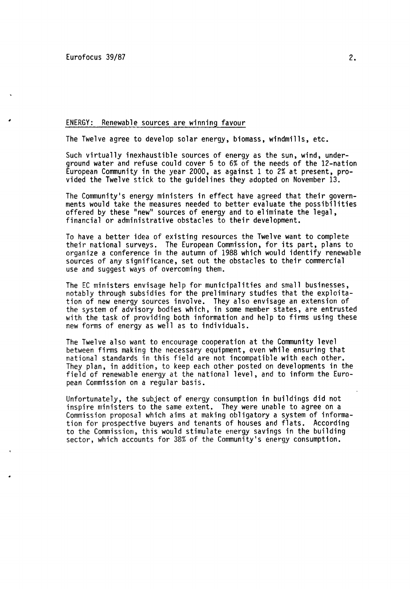#### ENERGY: Renewable sources are winning favour

The Twelve agree to develop solar energy, biomass, windmills, etc.

Such virtually inexhaustible sources of energy as the sun, wind, underground water and refuse could cover 5 to 6% of the needs of the 12-nation European Community in the year 2000, as against 1 to 2% at present, pro- vided the Twelve stick to the guidelines they adopted on November 13.

The Community's energy ministers in effect have agreed that their govern-<br>ments would take the measures needed to better evaluate the possibilities offered by these "new" sources of energy and to eliminate the legal, financial or administrative obstacles to their development.

To have a better idea of existing resources the Twelve want to complete their national surveys. The European Commission, for its part, plans to organize a conference in the autumn of 1988 which would identify renewable sources of any significance, set out the obstacles to their commercial use and suggest ways of overcoming them.

The EC ministers envisage help for municipalities and small businesses,<br>notably through subsidies for the preliminary studies that the exploitanotably through subsidies for the preliminary studies that the exploita-<br>tion of new energy sources involve. They also envisage an extension of the system of advisory bodies which, in some member states, are entrusted with the task of providing both information and help to firms using these new forms of energy as well as to individuals.

The Twelve also want to encourage cooperation at the Community level between firms making the necessary equipment, even while ensuring that national standards in this field are not incompatible with each other. They plan, in addition, to keep each other posted on developments in the field of renewable energy at the national level, and to inform the European Commission on a regular basis.

Unfortunately, the subject of energy consumption in buildings did not inspire ministers to the same extent. They were unable to agree on a Commission proposal which aims at making obligatory a system of information for prospective buyers and tenants of houses and flats. According to the Commission, this would stimulate energy savings in the building sector, which accounts for 38% of the Community's energy consumption.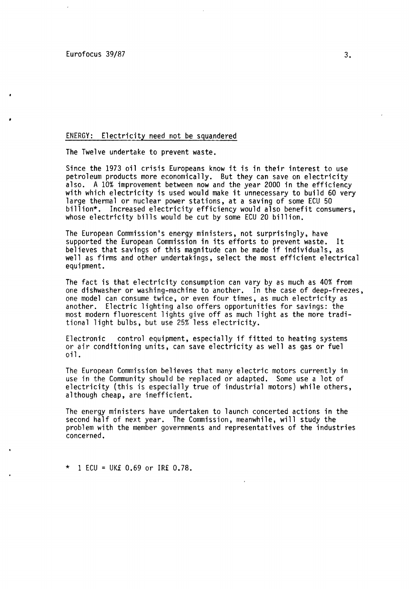#### ENERGY: Electricity need not be squandered

The Twelve undertake to prevent waste.

Since the 1973 oil crisis Europeans know it is in their interest to use petroleum products more economically. But they can save on electricity also. A 10% improvement between now and the year 2000 in the efficiency<br>with which electricity is used would make it unnecessary to build 60 very large thermal or nuclear power stations, at a saving of some ECU 50 billion\*. Increased electricity efficiency would also benefit consumers, whose electricity bills would be cut by some ECU 20 billion.

The European Commission's energy ministers, not surprisingly, have supported the European Commission in its efforts to prevent waste. It believes that savings of this magnitude can be made if individuals, as well as firms and other undertakings, select the most efficient electrical equipment.

The fact is that electricity consumption can vary by as much as 40% from one dishwasher or washing-machine to another. In the case of deep-freezes, one model can consume twice, or even four times, as much electricity as another. Electric lighting also offers opportunities for savings: the most modern fluorescent lights give off as much light as the more traditional light bulbs, but use 25% less electricity.

Electronic control equipment, especially if fitted to heating systems or air conditioning units, can save electricity as well as gas or fuel oil.

The European Commission believes that many electric motors currently in use in the Community should be replaced or adapted. Some use a lot of electricity (this is especially true of industrial motors) while others, although cheap, are inefficient.

The energy ministers have undertaken to launch concerted actions in the second half of next year. The Commission, meanwhile, will study the problem with the member governments and representatives of the industries concerned.

 $*$  1 ECU = UK£ 0.69 or IR£ 0.78.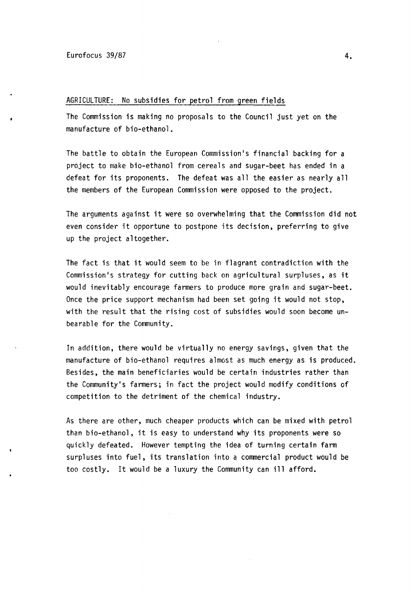#### AGRICULTURE: No subsidies for petrol from green fields

The Commission is making no proposals to the Council just yet on the manufacture of bio-ethanol.

The battle to obtain the European Commission's financial backing for a project to make bio-ethanol from cereals and sugar-beet has ended in a defeat for its proponents. The defeat was all the easier as nearly all the members of the European Commission were opposed to the project.

The arguments against it were so overwhelming that the Commission did not even consider it opportune to postpone its decision, preferring to give up the project altogether.

The fact is that it would seem to be in flagrant contradiction with the Commission's strategy for cutting back on agricultural surpluses, as it would inevitably encourage farmers to produce more grain and sugar-beet. Once the price support mechanism had been set going it would not stop, with the result that the rising cost of subsidies would soon become unbearable for the Community.

In addition, there would be virtually no energy savings, given that the manufacture of bio-ethanol requires almost as much energy as is produced. Besides, the main beneficiaries would be certain industries rather than the Community's farmers; in fact the project would modify conditions of competition to the detriment of the chemical industry.

As there are other, much cheaper products which can be mixed with petrol than bio-ethanol, it is easy to understand why its proponents were so quickly defeated. However tempting the idea of turning certain farm surpluses into fuel, its translation into a commercial product would be too costly. It would be a luxury the Community can ill afford.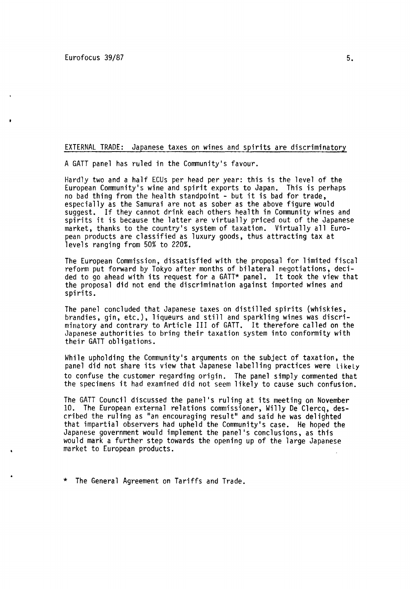### EXTERNAL TRADE: Japanese taxes on wines and spirits are discriminatory

A GATT panel has ruled in the Community's favour.

Hardly two and a half ECUs per head per year: this is the level of the European Community's wine and spirit exports to Japan. This is perhaps no bad thing from the health standpoint - but it is bad for trade, especially as the Samurai are not as sober as the above figure would suggest. If they cannot drink each others health in Community wines and spirits it is because the latter are virtually priced out of the Japanese market, thanks to the country's system of taxation. Virtually all European products are classified as luxury goods, thus attracting tax at levels ranging from 50% to 220%.

The European Commission, dissatisfied with the proposal for limited fiscal reform put forward by Tokyo after months of bilateral negotiations, decided to go ahead with its request for a GATT\* panel. It took the view that the proposal did not end the discrimination against imported wines and spirits.

The panel concluded that Japanese taxes on distilled spirits (whiskies, brandies, gin, etc.), liqueurs and still and sparkling wines was discriminatory and contrary to Article III of GATT. It therefore called on the Japanese authorities to bring their taxation system into conformity with their GATT obligations.

While upholding the Community's arguments on the subject of taxation, the panel did not share its view that Japanese labelling practices were Likely to confuse the customer regarding origin. The panel simply commented that the specimens it had examined did not seem likely to cause such confusion.

The GATT Council discussed the panel's ruling at its meeting on November 10. The European external relations commissioner, Willy De Clercq, des-<br>cribed the ruling as "an encouraging result" and said he was delighted that impartial observers had upheld the Community's case. He hoped the Japanese government would implement the panel's conclusions, as this would mark a further step towards the opening up of the large Japanese market to European products.

\* The General Agreement on Tariffs and Trade.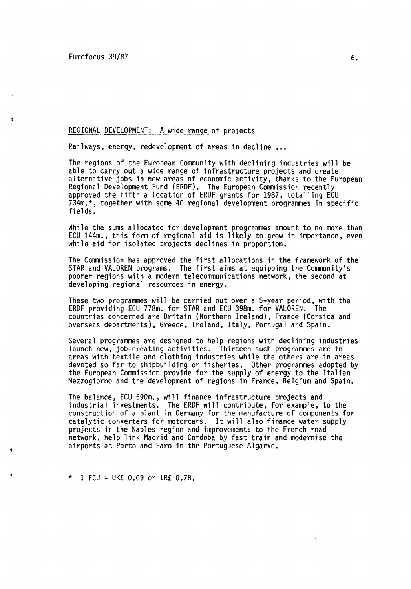#### REGIONAL DEVELOPMENT: A wide range of projects

Railways, energy, redevelopment of areas in decline ...

The regions of the European Community with declining industries will be able to carry out a wide range of infrastructure projects and create<br>alternative jobs in new areas of economic activity, thanks to the European alternative increase in the Ind (ERDF). The European Commission recently<br>approved the fifth allocation of ERDF grants for 1987, totalling ECU 734m.\*, together with some 40 regional development programmes in specific fields.

While the sums allocated for development programmes amount to no more than ECU 144m., this form of regional aid is likely to grow in importance, even while aid for isolated projects declines in proportion.

The Commission has approved the first allocations in the framework of the STAR and VALOREN programs. The first aims at equipping the Community's poorer regions with a modern telecommunications network, the second at developing regional resources in energy.

These two programmes will be carried out over a 5-year period, with the FRDF providing FCU 778m, for STAR and FCU 398m, for VALOREN. The ERDF providing ECU 778m, for STAR and ECU 398m, for VALOREN. countries concerned are Britain (Northern Ireland), France (Corsica and overseas departments), Greece, Ireland, Italy, Portugal and Spain.

Several programmes are designed to help regions with declining industries launch new, job-creating activities. Thirteen such programmes are in areas with textile and clothing industries while the others are in areas<br>devoted so far to shipbuilding or fisheries. Other programmes adopted by the European Commission provide for the supply of energy to the Italian Mezzogiorno and the development of regions in France, Belgium and Spain.

The balance, ECU 590m., will finance infrastructure projects and industrial investments. The ERDF will contribute, for example, to the construction of a plant in Germany for the manufacture of components for catalytic converters for motorcars. It will also finance water supply projects in the Naples region and improvements to the French road network, help link Madrid and Cordoba by fast train and modernise the airports at Porto and Faro in the Portuguese Algarve.

 $*$  1 ECU = UK£ 0.69 or IR£ 0.78.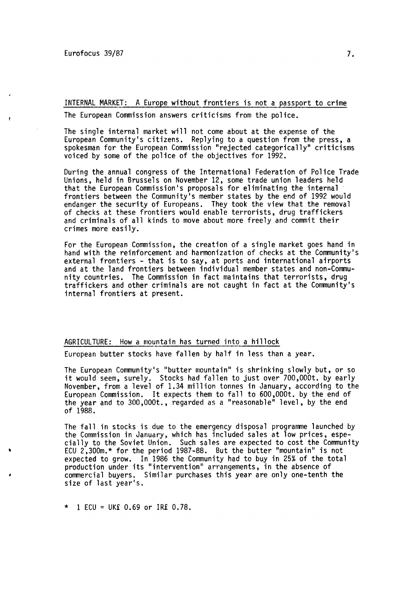INTERNAL MARKET: A Europe without frontiers is not a passport to crime

The European Commission answers criticisms from the police.

The single internal market will not come about at the expense of the European Community's citizens. Replying to a question from the press, a spokesman for the European Commission "rejected categorically" criticisms voiced by some of the police of the objectives for 1992.

During the annual congress of the International Federation of Police Trade Unions, held in Brussels on November 12, some trade union leaders held that the European Commission's proposals for eliminating the internal frontiers between the Community's member states by the end of 1992 would endanger the security of Europeans. They took the view that the removal of checks at these frontiers would enable terrorists, drug traffickers and criminals of all kinds to move about more freely and commit their crimes more easily.

For the European Commission, the creation of a single market goes hand in hand with the reinforcement and harmonization of checks at the Community's external frontiers - that is to say, at ports and international airports and at the land frontiers between individual member states and non-Commu-<br>nity countries. The Commission in fact maintains that terrorists, drug traffickers and other criminals are not caught in fact at the Community's internal frontiers at present.

AGRICULTURE: How a mountain has turned into a hillock

European butter stocks have fallen by half in less than a year.

The European Community's "butter mountain" is shrinking slowly but, or so it would seem, surely. Stocks had fallen to just over 700,000t. by early November, from a level of 1.34 million tonnes in January, according to the European Commission. It expects them to fall to 600,000t. by the end of the year and to 300,000t., regarded as a "reasonable" level, by the end of 1988.

The fall in stocks is due to the emergency disposal programme launched by<br>the Commission in January, which has included sales at low prices, espe-<br>cially to the Soviet Union. Such sales are expected to cost the Community<br>E expected to grow. In 1986 the Community had to buy in 25% of the total production under its "intervention" arrangements, in the absence of commercial buyers. Similar purchases this year are only one-tenth the size of last year's.

 $*$  1 ECU = UK£ 0.69 or IR£ 0.78.

'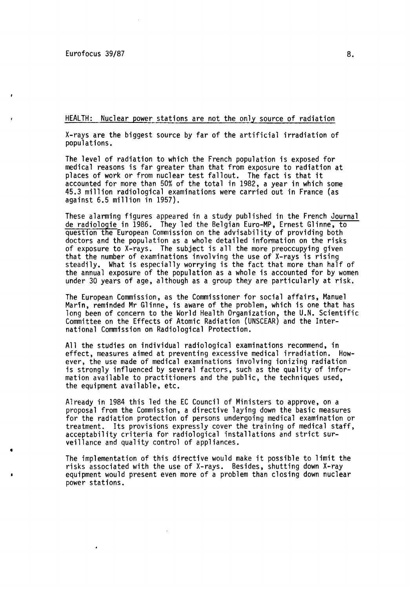•

HEALTH: Nuclear power stations are not the only source of radiation

X-rays are the biggest source by far of the artificial irradiation of populations.

The level of radiation to which the French population is exposed for medical reasons is far greater than that from exposure to radiation at places of work or from nuclear test fallout. The fact is that it accounted for more than 50% of the total in 1982, a year in which some 45.3 million radiological examinations were carried out in France (as against 6.5 million in 1957).

These alarming figures appeared in a study published in the French Journal de radiologie in 1986. They led the Belgian Euro-MP, Ernest Glinne, to question the European Commission on the advisability of providing both doctors and the population as a whole detailed information on the risks of exposure to X-rays. The subject is all the more preoccupying given that the number of examinations involving the use of X-rays is rising<br>steadily. What is especially worrying is the fact that more than half of the annual exposure of the population as a whole is accounted for by women under 30 years of age, although as a group they are particularly at risk.

The European Commission, as the Commissioner for social affairs, Manuel Marin, reminded Mr Glinne, is aware of the problem, which is one that has long been of concern to the World Health Organization, the U.N. Scientific Committee on the Effects of Atomic Radiation (UNSCEAR) and the International Commission on Radiological Protection.

All the studies on individual radiological examinations recommend, in effect, measures aimed at preventing excessive medical irradiation. However, the use made of medical examinations involving ionizing radiation is strongly influenced by several factors, such as the quality of information available to practitioners and the public, the techniques used, the equipment available, etc.

Already in 1984 this led the EC Council of Ministers to approve, on a proposal from the Commission, a directive laying down the basic measures for the radiation protection of persons undergoing medical examination or treatment. Its provisions expressly cover the training of medical staff, acceptability criteria for radiological installations and strict surveillance and quality control of appliances .

The implementation of this directive would make it possible to limit the risks associated with the use of  $X$ -rays. Besides, shutting down  $X$ -ray equipment would present even more of a problem than closing down nuclear power stations.